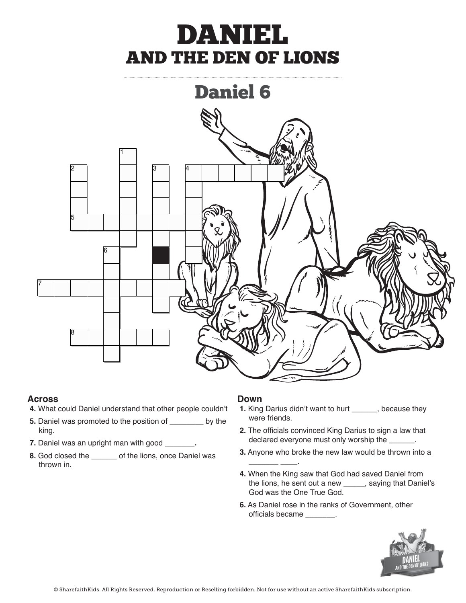# DANIEL AND THE DEN OF LIONS



#### **Across** and <u>A</u>

- **4.** What could Daniel understand that other people couldn't
- **5.** Daniel was promoted to the position of \_\_\_\_\_\_\_\_ by the king were merius. *Ring.* Daniel was an upper manufactured with  $\alpha$ 
	- **7.** Daniel was an upright man with good **\_\_\_\_\_\_\_**.
- **8.** God closed the **\_\_\_\_\_** of the lions, once Daniel was thrown in. the little little little sent out a new (DECREE), saying that is a new (DECREE), saying that is a new (DECREE), saying that is a sentimental sentimental sentimental sentimental sentimental sentimental sentimental sentiment

#### **Down**

**\_\_\_\_\_\_\_ \_\_\_\_**.

- people couldn't **1.** King Darius didn't want to hurt **\_\_\_\_\_**, because they were friends.
- **2.** The officials convinced King Darius to sign a law that declared everyone must only worship the **\_\_\_\_\_\_**.
- **3.** Anyone who broke the new law would be thrown into a
- 4. When the King saw that God had saved Daniel from the lions, he sent out a new **\_\_\_\_\_**, saying that Daniel's God was the One True God.
	- **6.** As Daniel rose in the ranks of Government, other officials became **\_\_\_\_\_\_\_**.